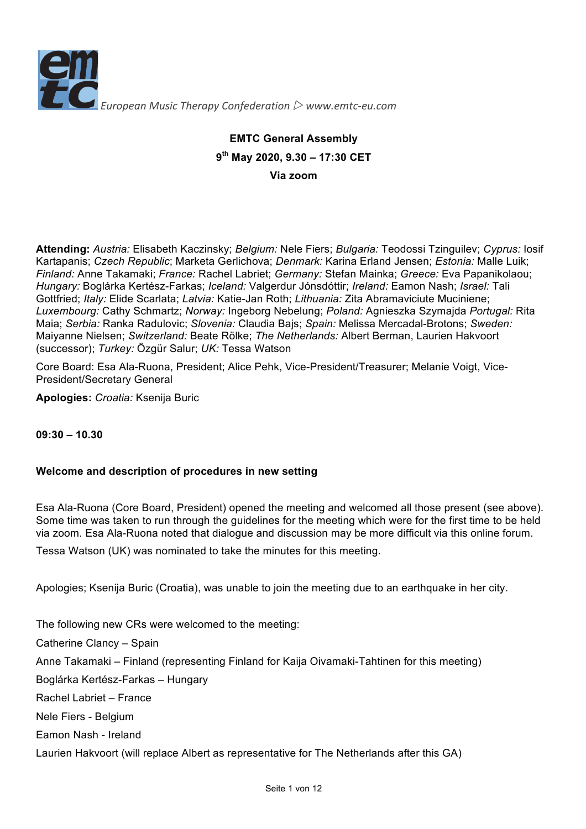

# **EMTC General Assembly 9th May 2020, 9.30 – 17:30 CET Via zoom**

**Attending:** *Austria:* Elisabeth Kaczinsky; *Belgium:* Nele Fiers; *Bulgaria:* Teodossi Tzinguilev; *Cyprus:* Iosif Kartapanis; *Czech Republic*; Marketa Gerlichova; *Denmark:* Karina Erland Jensen; *Estonia:* Malle Luik; *Finland:* Anne Takamaki; *France:* Rachel Labriet; *Germany:* Stefan Mainka; *Greece:* Eva Papanikolaou; *Hungary:* Boglárka Kertész-Farkas; *Iceland:* Valgerdur Jónsdóttir; *Ireland:* Eamon Nash; *Israel:* Tali Gottfried; *Italy:* Elide Scarlata; *Latvia:* Katie-Jan Roth; *Lithuania:* Zita Abramaviciute Muciniene; *Luxembourg:* Cathy Schmartz; *Norway:* Ingeborg Nebelung; *Poland:* Agnieszka Szymajda *Portugal:* Rita Maia; *Serbia:* Ranka Radulovic; *Slovenia:* Claudia Bajs; *Spain:* Melissa Mercadal-Brotons; *Sweden:* Maiyanne Nielsen; *Switzerland:* Beate Rölke; *The Netherlands:* Albert Berman, Laurien Hakvoort (successor); *Turkey:* Özgür Salur; *UK:* Tessa Watson

Core Board: Esa Ala-Ruona, President; Alice Pehk, Vice-President/Treasurer; Melanie Voigt, Vice-President/Secretary General

**Apologies:** *Croatia:* Ksenija Buric

**09:30 – 10.30**

# **Welcome and description of procedures in new setting**

Esa Ala-Ruona (Core Board, President) opened the meeting and welcomed all those present (see above). Some time was taken to run through the guidelines for the meeting which were for the first time to be held via zoom. Esa Ala-Ruona noted that dialogue and discussion may be more difficult via this online forum.

Tessa Watson (UK) was nominated to take the minutes for this meeting.

Apologies; Ksenija Buric (Croatia), was unable to join the meeting due to an earthquake in her city.

The following new CRs were welcomed to the meeting:

Catherine Clancy – Spain

Anne Takamaki – Finland (representing Finland for Kaija Oivamaki-Tahtinen for this meeting)

Boglárka Kertész-Farkas – Hungary

Rachel Labriet – France

Nele Fiers - Belgium

Eamon Nash - Ireland

Laurien Hakvoort (will replace Albert as representative for The Netherlands after this GA)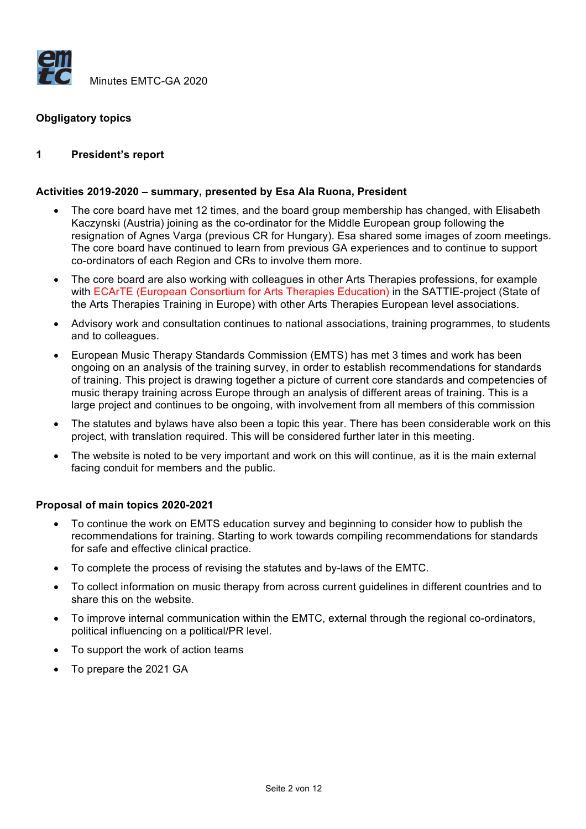

# **Obgligatory topics**

#### **1 President's report**

#### **Activities 2019-2020 – summary, presented by Esa Ala Ruona, President**

- The core board have met 12 times, and the board group membership has changed, with Elisabeth Kaczynski (Austria) joining as the co-ordinator for the Middle European group following the resignation of Agnes Varga (previous CR for Hungary). Esa shared some images of zoom meetings. The core board have continued to learn from previous GA experiences and to continue to support co-ordinators of each Region and CRs to involve them more.
- The core board are also working with colleagues in other Arts Therapies professions, for example with ECArTE (European Consortium for Arts Therapies Education) in the SATTIE-project (State of the Arts Therapies Training in Europe) with other Arts Therapies European level associations.
- Advisory work and consultation continues to national associations, training programmes, to students and to colleagues.
- European Music Therapy Standards Commission (EMTS) has met 3 times and work has been ongoing on an analysis of the training survey, in order to establish recommendations for standards of training. This project is drawing together a picture of current core standards and competencies of music therapy training across Europe through an analysis of different areas of training. This is a large project and continues to be ongoing, with involvement from all members of this commission
- The statutes and bylaws have also been a topic this year. There has been considerable work on this project, with translation required. This will be considered further later in this meeting.
- The website is noted to be very important and work on this will continue, as it is the main external facing conduit for members and the public.

#### **Proposal of main topics 2020-2021**

- To continue the work on EMTS education survey and beginning to consider how to publish the recommendations for training. Starting to work towards compiling recommendations for standards for safe and effective clinical practice.
- To complete the process of revising the statutes and by-laws of the EMTC.
- To collect information on music therapy from across current guidelines in different countries and to share this on the website.
- To improve internal communication within the EMTC, external through the regional co-ordinators, political influencing on a political/PR level.
- To support the work of action teams
- To prepare the 2021 GA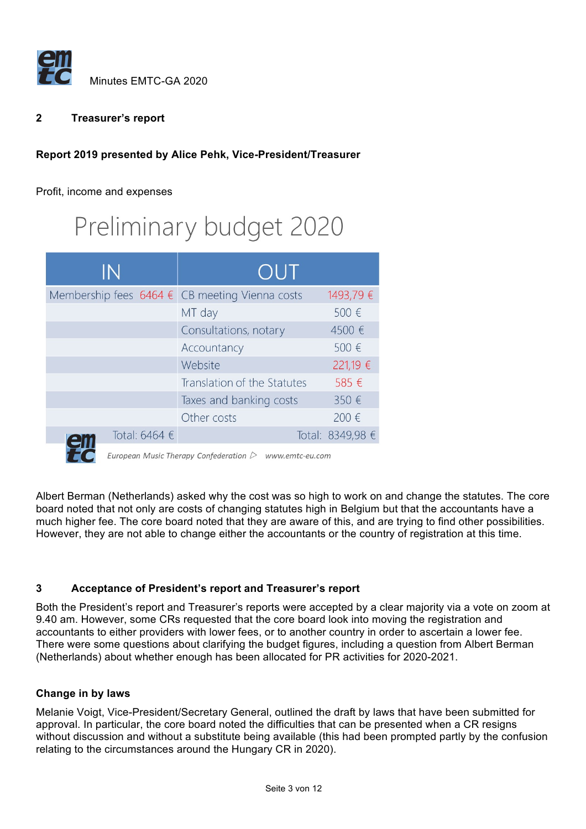

# **2 Treasurer's report**

# **Report 2019 presented by Alice Pehk, Vice-President/Treasurer**

Profit, income and expenses

# Preliminary budget 2020

| IN                                                                   | OUT                         |                  |
|----------------------------------------------------------------------|-----------------------------|------------------|
| Membership fees $6464 \text{ } \in \text{ }$ CB meeting Vienna costs |                             | 1493,79€         |
|                                                                      | MT day                      | 500 €            |
|                                                                      | Consultations, notary       | 4500 €           |
|                                                                      | Accountancy                 | 500 €            |
|                                                                      | Website                     | 221,19 €         |
|                                                                      | Translation of the Statutes | 585 €            |
|                                                                      | Taxes and banking costs     | 350€             |
|                                                                      | Other costs                 | 200 €            |
| Total: 6464 €                                                        |                             | Total: 8349,98 € |



**THE C** European Music Therapy Confederation  $\triangleright$  www.emtc-eu.com

Albert Berman (Netherlands) asked why the cost was so high to work on and change the statutes. The core board noted that not only are costs of changing statutes high in Belgium but that the accountants have a much higher fee. The core board noted that they are aware of this, and are trying to find other possibilities. However, they are not able to change either the accountants or the country of registration at this time.

# **3 Acceptance of President's report and Treasurer's report**

Both the President's report and Treasurer's reports were accepted by a clear majority via a vote on zoom at 9.40 am. However, some CRs requested that the core board look into moving the registration and accountants to either providers with lower fees, or to another country in order to ascertain a lower fee. There were some questions about clarifying the budget figures, including a question from Albert Berman (Netherlands) about whether enough has been allocated for PR activities for 2020-2021.

# **Change in by laws**

Melanie Voigt, Vice-President/Secretary General, outlined the draft by laws that have been submitted for approval. In particular, the core board noted the difficulties that can be presented when a CR resigns without discussion and without a substitute being available (this had been prompted partly by the confusion relating to the circumstances around the Hungary CR in 2020).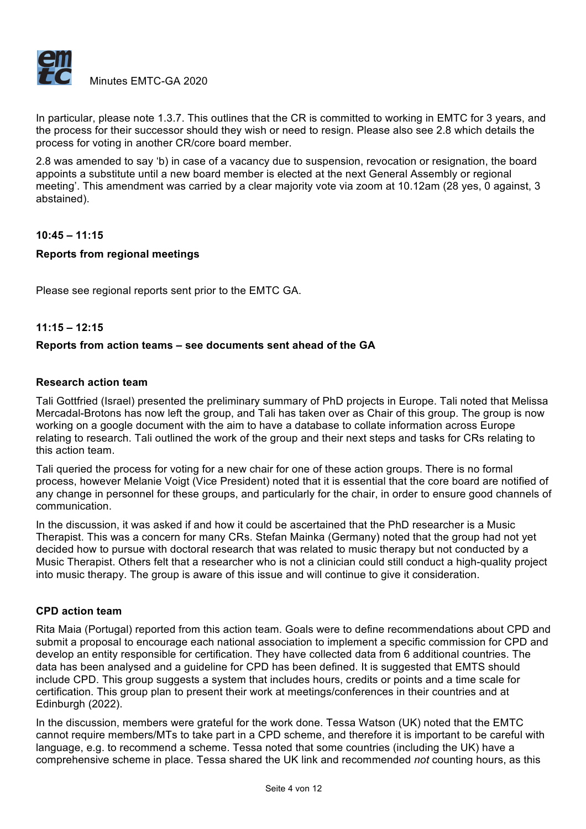

In particular, please note 1.3.7. This outlines that the CR is committed to working in EMTC for 3 years, and the process for their successor should they wish or need to resign. Please also see 2.8 which details the process for voting in another CR/core board member.

2.8 was amended to say 'b) in case of a vacancy due to suspension, revocation or resignation, the board appoints a substitute until a new board member is elected at the next General Assembly or regional meeting'. This amendment was carried by a clear majority vote via zoom at 10.12am (28 yes, 0 against, 3 abstained).

# **10:45 – 11:15**

#### **Reports from regional meetings**

Please see regional reports sent prior to the EMTC GA.

#### **11:15 – 12:15**

#### **Reports from action teams – see documents sent ahead of the GA**

#### **Research action team**

Tali Gottfried (Israel) presented the preliminary summary of PhD projects in Europe. Tali noted that Melissa Mercadal-Brotons has now left the group, and Tali has taken over as Chair of this group. The group is now working on a google document with the aim to have a database to collate information across Europe relating to research. Tali outlined the work of the group and their next steps and tasks for CRs relating to this action team.

Tali queried the process for voting for a new chair for one of these action groups. There is no formal process, however Melanie Voigt (Vice President) noted that it is essential that the core board are notified of any change in personnel for these groups, and particularly for the chair, in order to ensure good channels of communication.

In the discussion, it was asked if and how it could be ascertained that the PhD researcher is a Music Therapist. This was a concern for many CRs. Stefan Mainka (Germany) noted that the group had not yet decided how to pursue with doctoral research that was related to music therapy but not conducted by a Music Therapist. Others felt that a researcher who is not a clinician could still conduct a high-quality project into music therapy. The group is aware of this issue and will continue to give it consideration.

#### **CPD action team**

Rita Maia (Portugal) reported from this action team. Goals were to define recommendations about CPD and submit a proposal to encourage each national association to implement a specific commission for CPD and develop an entity responsible for certification. They have collected data from 6 additional countries. The data has been analysed and a guideline for CPD has been defined. It is suggested that EMTS should include CPD. This group suggests a system that includes hours, credits or points and a time scale for certification. This group plan to present their work at meetings/conferences in their countries and at Edinburgh (2022).

In the discussion, members were grateful for the work done. Tessa Watson (UK) noted that the EMTC cannot require members/MTs to take part in a CPD scheme, and therefore it is important to be careful with language, e.g. to recommend a scheme. Tessa noted that some countries (including the UK) have a comprehensive scheme in place. Tessa shared the UK link and recommended *not* counting hours, as this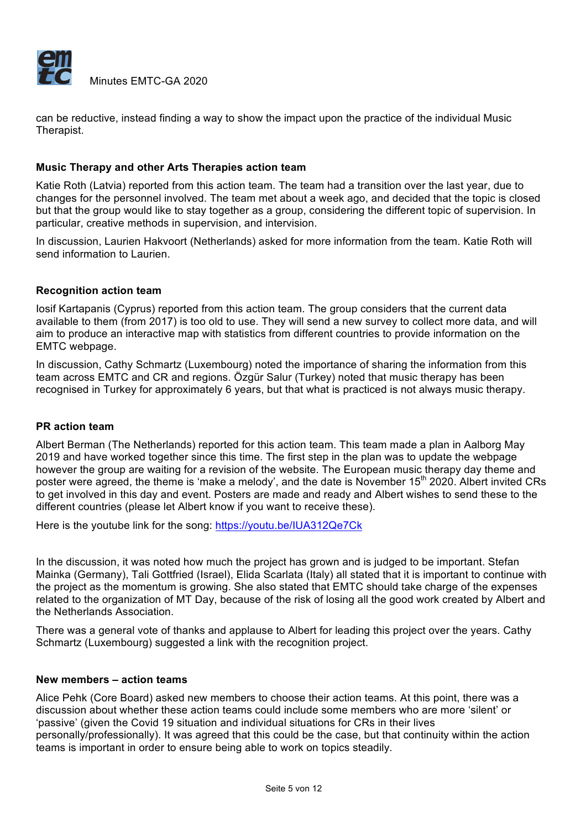

Minutes EMTC-GA 2020

can be reductive, instead finding a way to show the impact upon the practice of the individual Music Therapist.

# **Music Therapy and other Arts Therapies action team**

Katie Roth (Latvia) reported from this action team. The team had a transition over the last year, due to changes for the personnel involved. The team met about a week ago, and decided that the topic is closed but that the group would like to stay together as a group, considering the different topic of supervision. In particular, creative methods in supervision, and intervision.

In discussion, Laurien Hakvoort (Netherlands) asked for more information from the team. Katie Roth will send information to Laurien.

#### **Recognition action team**

Iosif Kartapanis (Cyprus) reported from this action team. The group considers that the current data available to them (from 2017) is too old to use. They will send a new survey to collect more data, and will aim to produce an interactive map with statistics from different countries to provide information on the EMTC webpage.

In discussion, Cathy Schmartz (Luxembourg) noted the importance of sharing the information from this team across EMTC and CR and regions. Özgür Salur (Turkey) noted that music therapy has been recognised in Turkey for approximately 6 years, but that what is practiced is not always music therapy.

#### **PR action team**

Albert Berman (The Netherlands) reported for this action team. This team made a plan in Aalborg May 2019 and have worked together since this time. The first step in the plan was to update the webpage however the group are waiting for a revision of the website. The European music therapy day theme and poster were agreed, the theme is 'make a melody', and the date is November 15<sup>th</sup> 2020. Albert invited CRs to get involved in this day and event. Posters are made and ready and Albert wishes to send these to the different countries (please let Albert know if you want to receive these).

Here is the youtube link for the song: https://youtu.be/IUA312Qe7Ck

In the discussion, it was noted how much the project has grown and is judged to be important. Stefan Mainka (Germany), Tali Gottfried (Israel), Elida Scarlata (Italy) all stated that it is important to continue with the project as the momentum is growing. She also stated that EMTC should take charge of the expenses related to the organization of MT Day, because of the risk of losing all the good work created by Albert and the Netherlands Association.

There was a general vote of thanks and applause to Albert for leading this project over the years. Cathy Schmartz (Luxembourg) suggested a link with the recognition project.

#### **New members – action teams**

Alice Pehk (Core Board) asked new members to choose their action teams. At this point, there was a discussion about whether these action teams could include some members who are more 'silent' or 'passive' (given the Covid 19 situation and individual situations for CRs in their lives personally/professionally). It was agreed that this could be the case, but that continuity within the action teams is important in order to ensure being able to work on topics steadily.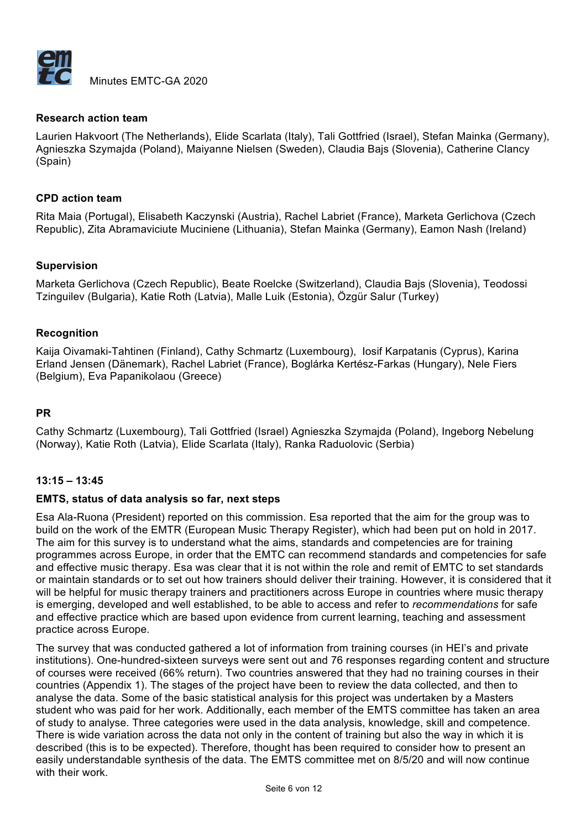

#### **Research action team**

Laurien Hakvoort (The Netherlands), Elide Scarlata (Italy), Tali Gottfried (Israel), Stefan Mainka (Germany), Agnieszka Szymajda (Poland), Maiyanne Nielsen (Sweden), Claudia Bajs (Slovenia), Catherine Clancy (Spain)

#### **CPD action team**

Rita Maia (Portugal), Elisabeth Kaczynski (Austria), Rachel Labriet (France), Marketa Gerlichova (Czech Republic), Zita Abramaviciute Muciniene (Lithuania), Stefan Mainka (Germany), Eamon Nash (Ireland)

#### **Supervision**

Marketa Gerlichova (Czech Republic), Beate Roelcke (Switzerland), Claudia Bajs (Slovenia), Teodossi Tzinguilev (Bulgaria), Katie Roth (Latvia), Malle Luik (Estonia), Özgür Salur (Turkey)

#### **Recognition**

Kaija Oivamaki-Tahtinen (Finland), Cathy Schmartz (Luxembourg), Iosif Karpatanis (Cyprus), Karina Erland Jensen (Dänemark), Rachel Labriet (France), Boglárka Kertész-Farkas (Hungary), Nele Fiers (Belgium), Eva Papanikolaou (Greece)

#### **PR**

Cathy Schmartz (Luxembourg), Tali Gottfried (Israel) Agnieszka Szymajda (Poland), Ingeborg Nebelung (Norway), Katie Roth (Latvia), Elide Scarlata (Italy), Ranka Raduolovic (Serbia)

# **13:15 – 13:45**

#### **EMTS, status of data analysis so far, next steps**

Esa Ala-Ruona (President) reported on this commission. Esa reported that the aim for the group was to build on the work of the EMTR (European Music Therapy Register), which had been put on hold in 2017. The aim for this survey is to understand what the aims, standards and competencies are for training programmes across Europe, in order that the EMTC can recommend standards and competencies for safe and effective music therapy. Esa was clear that it is not within the role and remit of EMTC to set standards or maintain standards or to set out how trainers should deliver their training. However, it is considered that it will be helpful for music therapy trainers and practitioners across Europe in countries where music therapy is emerging, developed and well established, to be able to access and refer to *recommendations* for safe and effective practice which are based upon evidence from current learning, teaching and assessment practice across Europe.

The survey that was conducted gathered a lot of information from training courses (in HEI's and private institutions). One-hundred-sixteen surveys were sent out and 76 responses regarding content and structure of courses were received (66% return). Two countries answered that they had no training courses in their countries (Appendix 1). The stages of the project have been to review the data collected, and then to analyse the data. Some of the basic statistical analysis for this project was undertaken by a Masters student who was paid for her work. Additionally, each member of the EMTS committee has taken an area of study to analyse. Three categories were used in the data analysis, knowledge, skill and competence. There is wide variation across the data not only in the content of training but also the way in which it is described (this is to be expected). Therefore, thought has been required to consider how to present an easily understandable synthesis of the data. The EMTS committee met on 8/5/20 and will now continue with their work.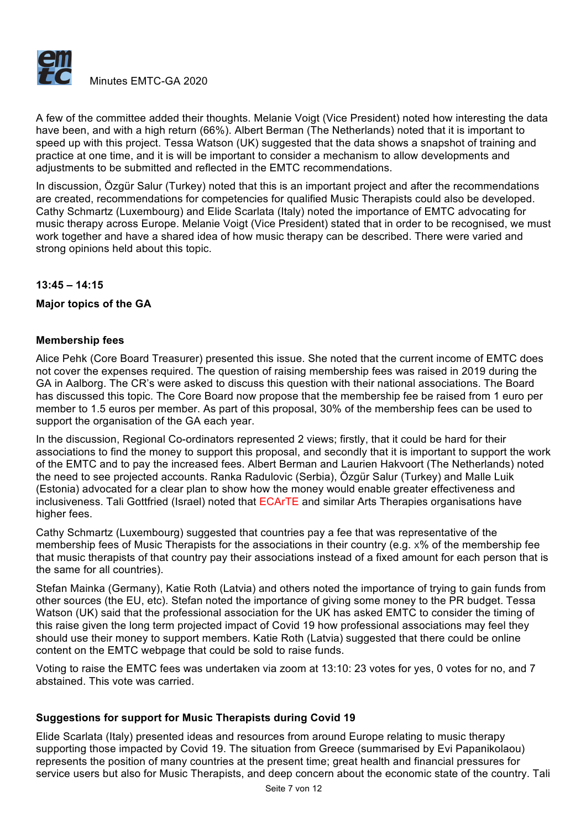

A few of the committee added their thoughts. Melanie Voigt (Vice President) noted how interesting the data have been, and with a high return (66%). Albert Berman (The Netherlands) noted that it is important to speed up with this project. Tessa Watson (UK) suggested that the data shows a snapshot of training and practice at one time, and it is will be important to consider a mechanism to allow developments and adjustments to be submitted and reflected in the EMTC recommendations.

In discussion, Özgür Salur (Turkey) noted that this is an important project and after the recommendations are created, recommendations for competencies for qualified Music Therapists could also be developed. Cathy Schmartz (Luxembourg) and Elide Scarlata (Italy) noted the importance of EMTC advocating for music therapy across Europe. Melanie Voigt (Vice President) stated that in order to be recognised, we must work together and have a shared idea of how music therapy can be described. There were varied and strong opinions held about this topic.

# **13:45 – 14:15**

# **Major topics of the GA**

# **Membership fees**

Alice Pehk (Core Board Treasurer) presented this issue. She noted that the current income of EMTC does not cover the expenses required. The question of raising membership fees was raised in 2019 during the GA in Aalborg. The CR's were asked to discuss this question with their national associations. The Board has discussed this topic. The Core Board now propose that the membership fee be raised from 1 euro per member to 1.5 euros per member. As part of this proposal, 30% of the membership fees can be used to support the organisation of the GA each year.

In the discussion, Regional Co-ordinators represented 2 views; firstly, that it could be hard for their associations to find the money to support this proposal, and secondly that it is important to support the work of the EMTC and to pay the increased fees. Albert Berman and Laurien Hakvoort (The Netherlands) noted the need to see projected accounts. Ranka Radulovic (Serbia), Özgür Salur (Turkey) and Malle Luik (Estonia) advocated for a clear plan to show how the money would enable greater effectiveness and inclusiveness. Tali Gottfried (Israel) noted that ECArTE and similar Arts Therapies organisations have higher fees.

Cathy Schmartz (Luxembourg) suggested that countries pay a fee that was representative of the membership fees of Music Therapists for the associations in their country (e.g. x% of the membership fee that music therapists of that country pay their associations instead of a fixed amount for each person that is the same for all countries).

Stefan Mainka (Germany), Katie Roth (Latvia) and others noted the importance of trying to gain funds from other sources (the EU, etc). Stefan noted the importance of giving some money to the PR budget. Tessa Watson (UK) said that the professional association for the UK has asked EMTC to consider the timing of this raise given the long term projected impact of Covid 19 how professional associations may feel they should use their money to support members. Katie Roth (Latvia) suggested that there could be online content on the EMTC webpage that could be sold to raise funds.

Voting to raise the EMTC fees was undertaken via zoom at 13:10: 23 votes for yes, 0 votes for no, and 7 abstained. This vote was carried.

# **Suggestions for support for Music Therapists during Covid 19**

Elide Scarlata (Italy) presented ideas and resources from around Europe relating to music therapy supporting those impacted by Covid 19. The situation from Greece (summarised by Evi Papanikolaou) represents the position of many countries at the present time; great health and financial pressures for service users but also for Music Therapists, and deep concern about the economic state of the country. Tali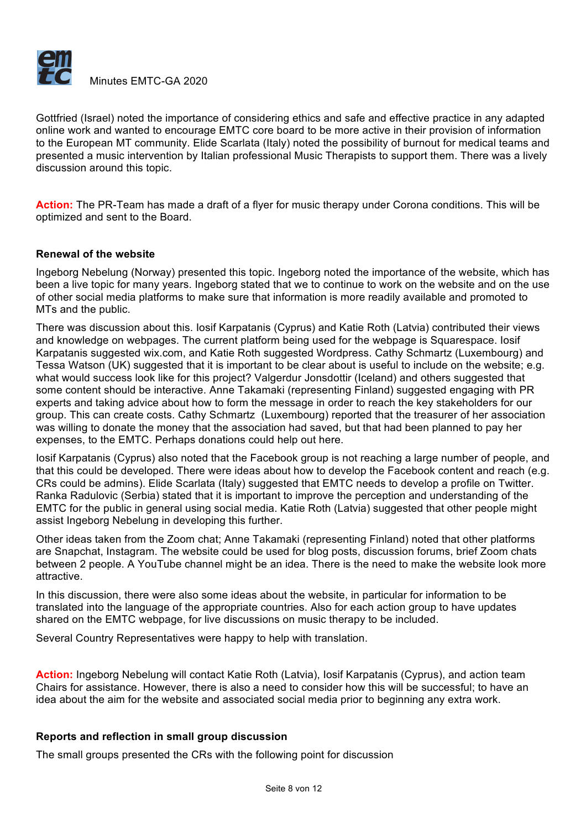

Gottfried (Israel) noted the importance of considering ethics and safe and effective practice in any adapted online work and wanted to encourage EMTC core board to be more active in their provision of information to the European MT community. Elide Scarlata (Italy) noted the possibility of burnout for medical teams and presented a music intervention by Italian professional Music Therapists to support them. There was a lively discussion around this topic.

**Action:** The PR-Team has made a draft of a flyer for music therapy under Corona conditions. This will be optimized and sent to the Board.

#### **Renewal of the website**

Ingeborg Nebelung (Norway) presented this topic. Ingeborg noted the importance of the website, which has been a live topic for many years. Ingeborg stated that we to continue to work on the website and on the use of other social media platforms to make sure that information is more readily available and promoted to MTs and the public.

There was discussion about this. Iosif Karpatanis (Cyprus) and Katie Roth (Latvia) contributed their views and knowledge on webpages. The current platform being used for the webpage is Squarespace. Iosif Karpatanis suggested wix.com, and Katie Roth suggested Wordpress. Cathy Schmartz (Luxembourg) and Tessa Watson (UK) suggested that it is important to be clear about is useful to include on the website; e.g. what would success look like for this project? Valgerdur Jonsdottir (Iceland) and others suggested that some content should be interactive. Anne Takamaki (representing Finland) suggested engaging with PR experts and taking advice about how to form the message in order to reach the key stakeholders for our group. This can create costs. Cathy Schmartz (Luxembourg) reported that the treasurer of her association was willing to donate the money that the association had saved, but that had been planned to pay her expenses, to the EMTC. Perhaps donations could help out here.

Iosif Karpatanis (Cyprus) also noted that the Facebook group is not reaching a large number of people, and that this could be developed. There were ideas about how to develop the Facebook content and reach (e.g. CRs could be admins). Elide Scarlata (Italy) suggested that EMTC needs to develop a profile on Twitter. Ranka Radulovic (Serbia) stated that it is important to improve the perception and understanding of the EMTC for the public in general using social media. Katie Roth (Latvia) suggested that other people might assist Ingeborg Nebelung in developing this further.

Other ideas taken from the Zoom chat; Anne Takamaki (representing Finland) noted that other platforms are Snapchat, Instagram. The website could be used for blog posts, discussion forums, brief Zoom chats between 2 people. A YouTube channel might be an idea. There is the need to make the website look more attractive.

In this discussion, there were also some ideas about the website, in particular for information to be translated into the language of the appropriate countries. Also for each action group to have updates shared on the EMTC webpage, for live discussions on music therapy to be included.

Several Country Representatives were happy to help with translation.

**Action:** Ingeborg Nebelung will contact Katie Roth (Latvia), Iosif Karpatanis (Cyprus), and action team Chairs for assistance. However, there is also a need to consider how this will be successful; to have an idea about the aim for the website and associated social media prior to beginning any extra work.

# **Reports and reflection in small group discussion**

The small groups presented the CRs with the following point for discussion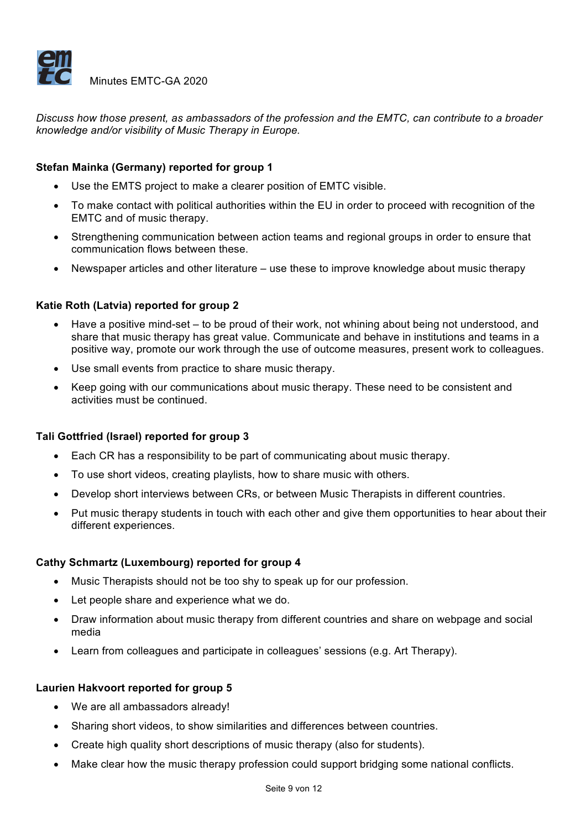

*Discuss how those present, as ambassadors of the profession and the EMTC, can contribute to a broader knowledge and/or visibility of Music Therapy in Europe.*

# **Stefan Mainka (Germany) reported for group 1**

- Use the EMTS project to make a clearer position of EMTC visible.
- To make contact with political authorities within the EU in order to proceed with recognition of the EMTC and of music therapy.
- Strengthening communication between action teams and regional groups in order to ensure that communication flows between these.
- Newspaper articles and other literature use these to improve knowledge about music therapy

# **Katie Roth (Latvia) reported for group 2**

- Have a positive mind-set to be proud of their work, not whining about being not understood, and share that music therapy has great value. Communicate and behave in institutions and teams in a positive way, promote our work through the use of outcome measures, present work to colleagues.
- Use small events from practice to share music therapy.
- Keep going with our communications about music therapy. These need to be consistent and activities must be continued.

# **Tali Gottfried (Israel) reported for group 3**

- Each CR has a responsibility to be part of communicating about music therapy.
- To use short videos, creating playlists, how to share music with others.
- Develop short interviews between CRs, or between Music Therapists in different countries.
- Put music therapy students in touch with each other and give them opportunities to hear about their different experiences.

#### **Cathy Schmartz (Luxembourg) reported for group 4**

- Music Therapists should not be too shy to speak up for our profession.
- Let people share and experience what we do.
- Draw information about music therapy from different countries and share on webpage and social media
- Learn from colleagues and participate in colleagues' sessions (e.g. Art Therapy).

#### **Laurien Hakvoort reported for group 5**

- We are all ambassadors already!
- Sharing short videos, to show similarities and differences between countries.
- Create high quality short descriptions of music therapy (also for students).
- Make clear how the music therapy profession could support bridging some national conflicts.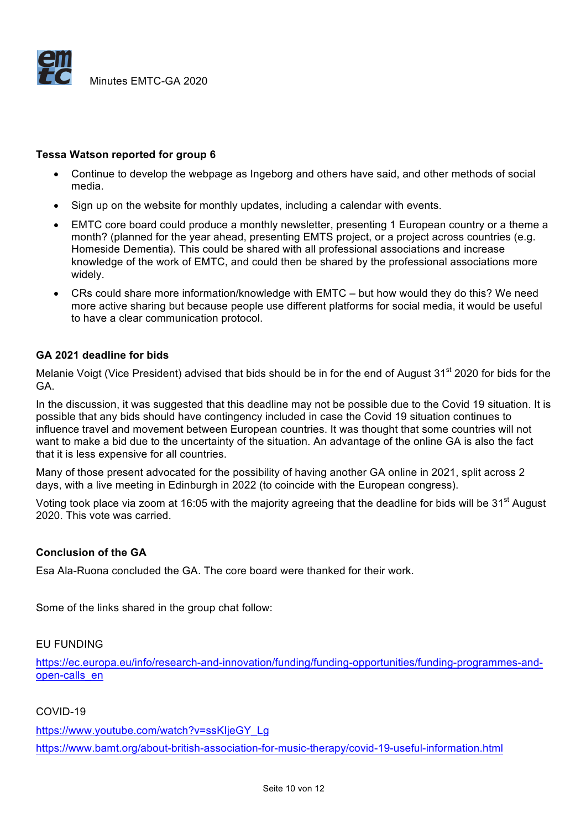

#### **Tessa Watson reported for group 6**

- Continue to develop the webpage as Ingeborg and others have said, and other methods of social media.
- Sign up on the website for monthly updates, including a calendar with events.
- EMTC core board could produce a monthly newsletter, presenting 1 European country or a theme a month? (planned for the year ahead, presenting EMTS project, or a project across countries (e.g. Homeside Dementia). This could be shared with all professional associations and increase knowledge of the work of EMTC, and could then be shared by the professional associations more widely.
- CRs could share more information/knowledge with EMTC but how would they do this? We need more active sharing but because people use different platforms for social media, it would be useful to have a clear communication protocol.

#### **GA 2021 deadline for bids**

Melanie Voigt (Vice President) advised that bids should be in for the end of August 31<sup>st</sup> 2020 for bids for the GA.

In the discussion, it was suggested that this deadline may not be possible due to the Covid 19 situation. It is possible that any bids should have contingency included in case the Covid 19 situation continues to influence travel and movement between European countries. It was thought that some countries will not want to make a bid due to the uncertainty of the situation. An advantage of the online GA is also the fact that it is less expensive for all countries.

Many of those present advocated for the possibility of having another GA online in 2021, split across 2 days, with a live meeting in Edinburgh in 2022 (to coincide with the European congress).

Voting took place via zoom at 16:05 with the majority agreeing that the deadline for bids will be 31<sup>st</sup> August 2020. This vote was carried.

#### **Conclusion of the GA**

Esa Ala-Ruona concluded the GA. The core board were thanked for their work.

Some of the links shared in the group chat follow:

#### EU FUNDING

https://ec.europa.eu/info/research-and-innovation/funding/funding-opportunities/funding-programmes-andopen-calls\_en

#### COVID-19

https://www.youtube.com/watch?v=ssKIjeGY\_Lg https://www.bamt.org/about-british-association-for-music-therapy/covid-19-useful-information.html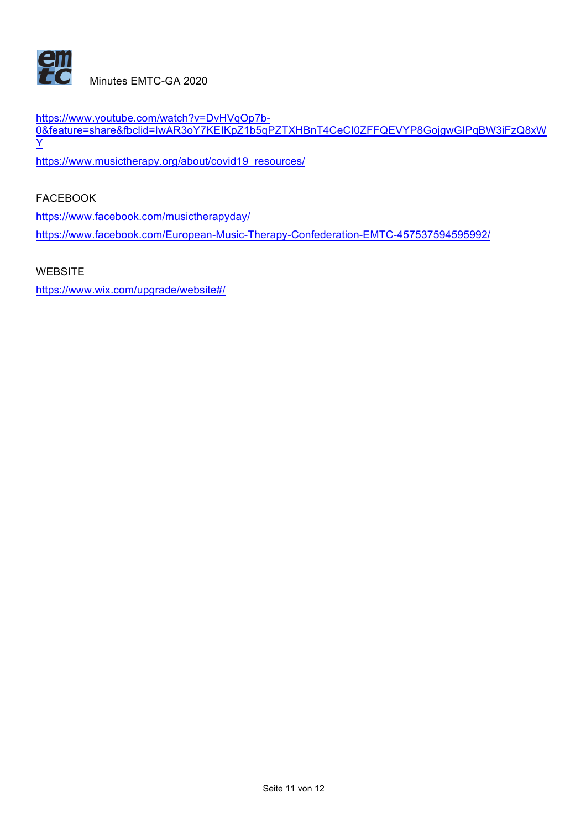

https://www.youtube.com/watch?v=DvHVqOp7b-0&feature=share&fbclid=IwAR3oY7KEIKpZ1b5qPZTXHBnT4CeCI0ZFFQEVYP8GojgwGIPqBW3iFzQ8xW Y

https://www.musictherapy.org/about/covid19\_resources/

FACEBOOK

https://www.facebook.com/musictherapyday/

https://www.facebook.com/European-Music-Therapy-Confederation-EMTC-457537594595992/

**WEBSITE** 

https://www.wix.com/upgrade/website#/